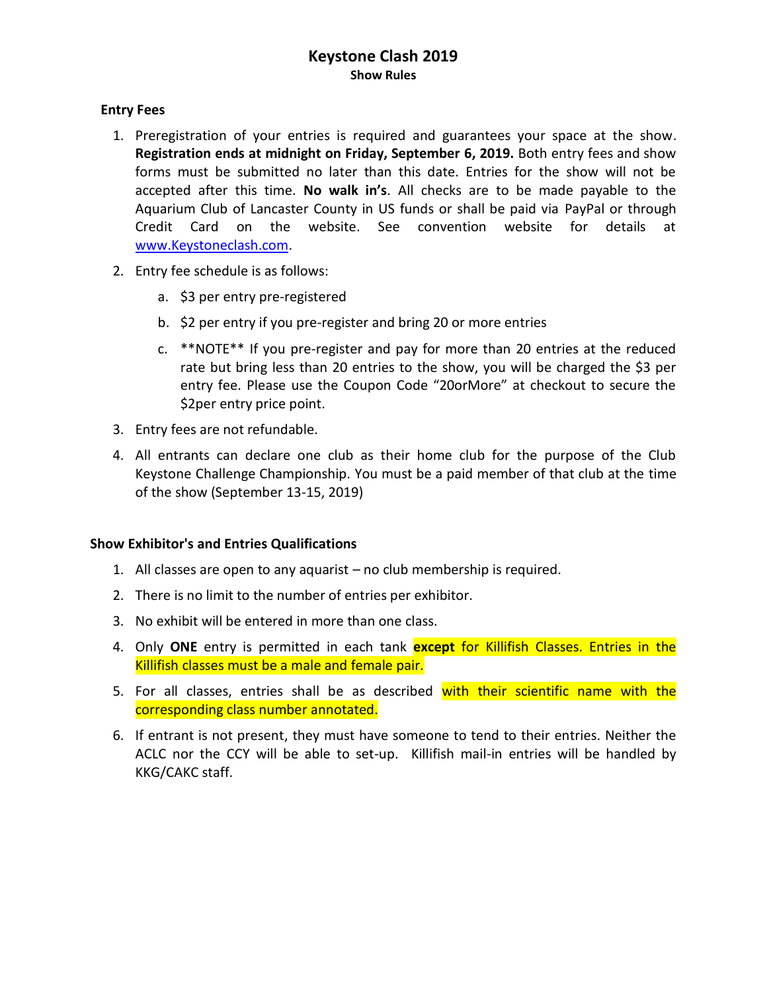# **Keystone Clash 2019 Show Rules**

### **Entry Fees**

- 1. Preregistration of your entries is required and guarantees your space at the show. **Registration ends at midnight on Friday, September 6, 2019.** Both entry fees and show forms must be submitted no later than this date. Entries for the show will not be accepted after this time. **No walk in's**. All checks are to be made payable to the Aquarium Club of Lancaster County in US funds or shall be paid via PayPal or through Credit Card on the website. See convention website for details at [www.Keystoneclash.com.](http://www.keystoneclash.com/)
- 2. Entry fee schedule is as follows:
	- a. \$3 per entry pre-registered
	- b. \$2 per entry if you pre-register and bring 20 or more entries
	- c. \*\*NOTE\*\* If you pre-register and pay for more than 20 entries at the reduced rate but bring less than 20 entries to the show, you will be charged the \$3 per entry fee. Please use the Coupon Code "20orMore" at checkout to secure the \$2per entry price point.
- 3. Entry fees are not refundable.
- 4. All entrants can declare one club as their home club for the purpose of the Club Keystone Challenge Championship. You must be a paid member of that club at the time of the show (September 13-15, 2019)

#### **Show Exhibitor's and Entries Qualifications**

- 1. All classes are open to any aquarist no club membership is required.
- 2. There is no limit to the number of entries per exhibitor.
- 3. No exhibit will be entered in more than one class.
- 4. Only **ONE** entry is permitted in each tank **except** for Killifish Classes. Entries in the Killifish classes must be a male and female pair.
- 5. For all classes, entries shall be as described with their scientific name with the corresponding class number annotated.
- 6. If entrant is not present, they must have someone to tend to their entries. Neither the ACLC nor the CCY will be able to set-up. Killifish mail-in entries will be handled by KKG/CAKC staff.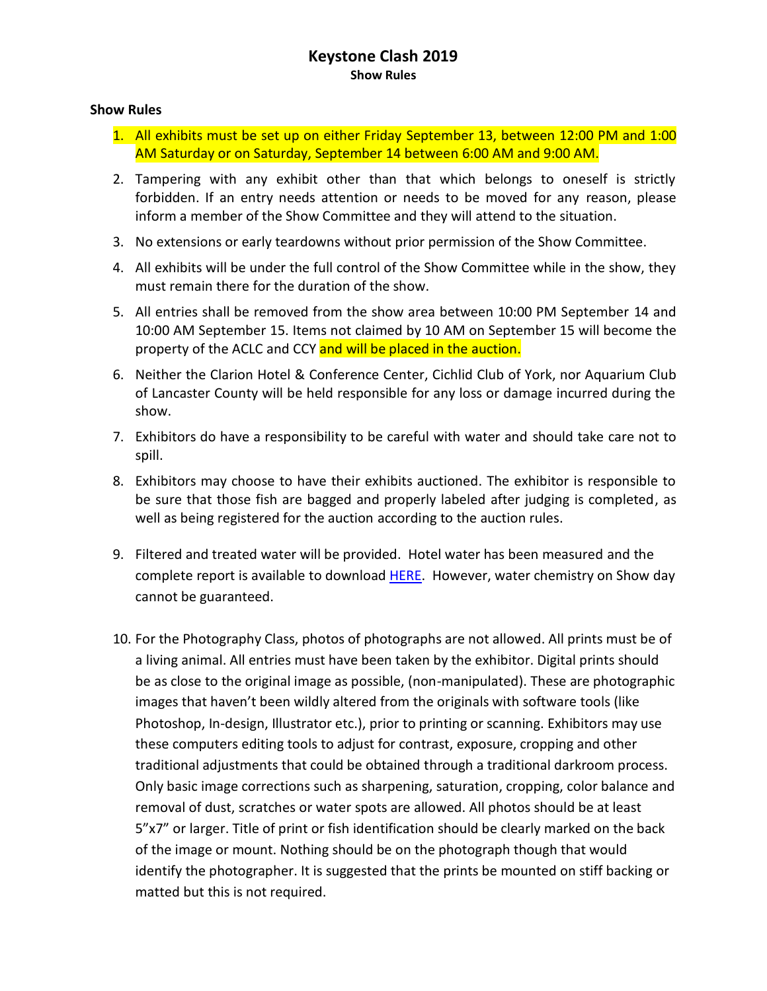# **Keystone Clash 2019 Show Rules**

#### **Show Rules**

- 1. All exhibits must be set up on either Friday September 13, between 12:00 PM and 1:00 AM Saturday or on Saturday, September 14 between 6:00 AM and 9:00 AM.
- 2. Tampering with any exhibit other than that which belongs to oneself is strictly forbidden. If an entry needs attention or needs to be moved for any reason, please inform a member of the Show Committee and they will attend to the situation.
- 3. No extensions or early teardowns without prior permission of the Show Committee.
- 4. All exhibits will be under the full control of the Show Committee while in the show, they must remain there for the duration of the show.
- 5. All entries shall be removed from the show area between 10:00 PM September 14 and 10:00 AM September 15. Items not claimed by 10 AM on September 15 will become the property of the ACLC and CCY and will be placed in the auction.
- 6. Neither the Clarion Hotel & Conference Center, Cichlid Club of York, nor Aquarium Club of Lancaster County will be held responsible for any loss or damage incurred during the show.
- 7. Exhibitors do have a responsibility to be careful with water and should take care not to spill.
- 8. Exhibitors may choose to have their exhibits auctioned. The exhibitor is responsible to be sure that those fish are bagged and properly labeled after judging is completed, as well as being registered for the auction according to the auction rules.
- 9. Filtered and treated water will be provided. Hotel water has been measured and the complete report is available to download **HERE**. However, water chemistry on Show day cannot be guaranteed.
- 10. For the Photography Class, photos of photographs are not allowed. All prints must be of a living animal. All entries must have been taken by the exhibitor. Digital prints should be as close to the original image as possible, (non-manipulated). These are photographic images that haven't been wildly altered from the originals with software tools (like Photoshop, In-design, Illustrator etc.), prior to printing or scanning. Exhibitors may use these computers editing tools to adjust for contrast, exposure, cropping and other traditional adjustments that could be obtained through a traditional darkroom process. Only basic image corrections such as sharpening, saturation, cropping, color balance and removal of dust, scratches or water spots are allowed. All photos should be at least 5"x7" or larger. Title of print or fish identification should be clearly marked on the back of the image or mount. Nothing should be on the photograph though that would identify the photographer. It is suggested that the prints be mounted on stiff backing or matted but this is not required.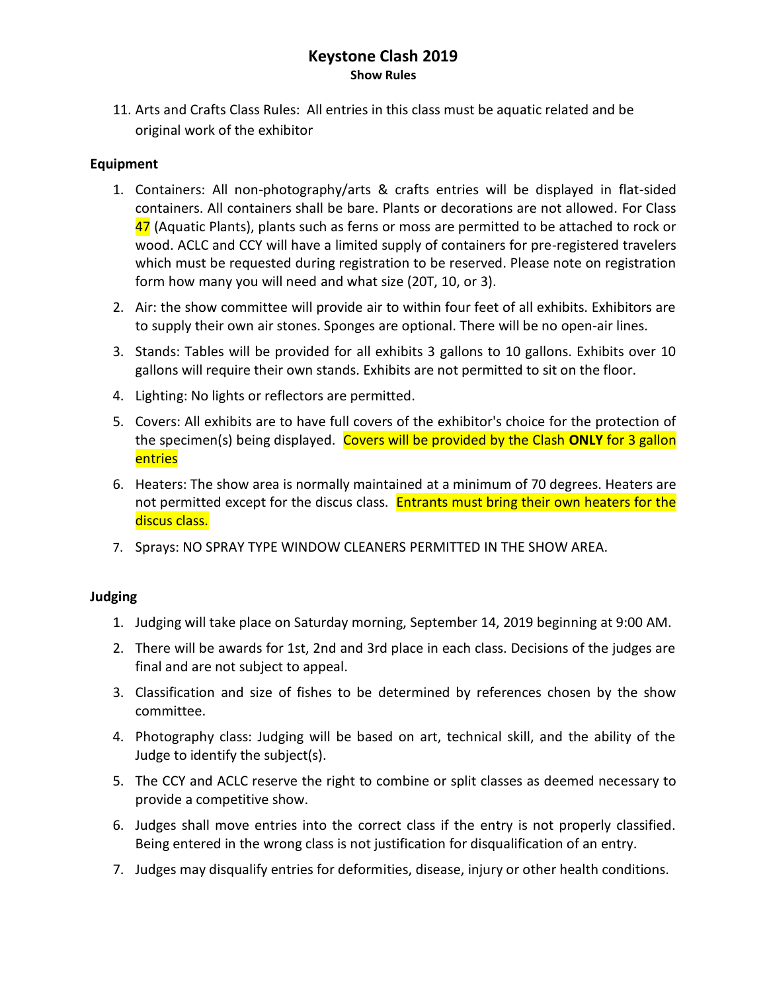# **Keystone Clash 2019 Show Rules**

11. Arts and Crafts Class Rules: All entries in this class must be aquatic related and be original work of the exhibitor

### **Equipment**

- 1. Containers: All non-photography/arts & crafts entries will be displayed in flat-sided containers. All containers shall be bare. Plants or decorations are not allowed. For Class 47 (Aquatic Plants), plants such as ferns or moss are permitted to be attached to rock or wood. ACLC and CCY will have a limited supply of containers for pre-registered travelers which must be requested during registration to be reserved. Please note on registration form how many you will need and what size (20T, 10, or 3).
- 2. Air: the show committee will provide air to within four feet of all exhibits. Exhibitors are to supply their own air stones. Sponges are optional. There will be no open-air lines.
- 3. Stands: Tables will be provided for all exhibits 3 gallons to 10 gallons. Exhibits over 10 gallons will require their own stands. Exhibits are not permitted to sit on the floor.
- 4. Lighting: No lights or reflectors are permitted.
- 5. Covers: All exhibits are to have full covers of the exhibitor's choice for the protection of the specimen(s) being displayed. Covers will be provided by the Clash **ONLY** for 3 gallon entries
- 6. Heaters: The show area is normally maintained at a minimum of 70 degrees. Heaters are not permitted except for the discus class. Entrants must bring their own heaters for the discus class.
- 7. Sprays: NO SPRAY TYPE WINDOW CLEANERS PERMITTED IN THE SHOW AREA.

## **Judging**

- 1. Judging will take place on Saturday morning, September 14, 2019 beginning at 9:00 AM.
- 2. There will be awards for 1st, 2nd and 3rd place in each class. Decisions of the judges are final and are not subject to appeal.
- 3. Classification and size of fishes to be determined by references chosen by the show committee.
- 4. Photography class: Judging will be based on art, technical skill, and the ability of the Judge to identify the subject(s).
- 5. The CCY and ACLC reserve the right to combine or split classes as deemed necessary to provide a competitive show.
- 6. Judges shall move entries into the correct class if the entry is not properly classified. Being entered in the wrong class is not justification for disqualification of an entry.
- 7. Judges may disqualify entries for deformities, disease, injury or other health conditions.